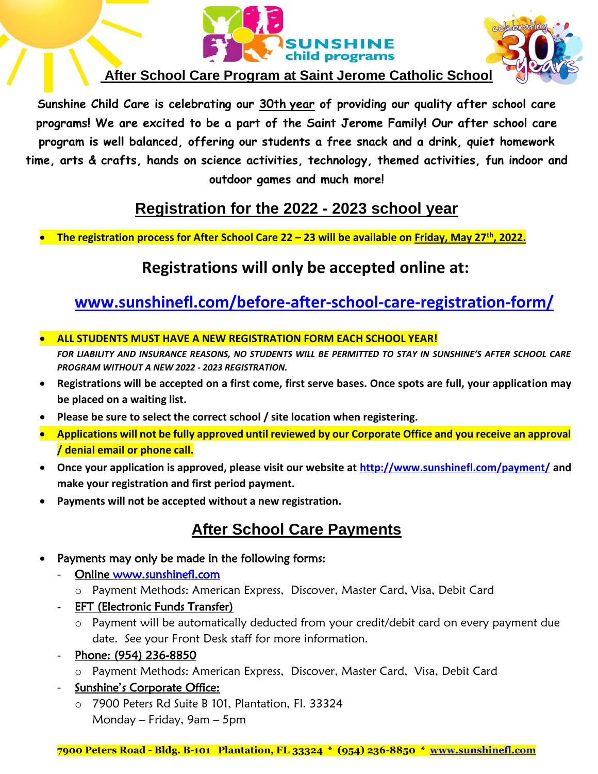



#### **After School Care Program at Saint Jerome Catholic School**

**Sunshine Child Care is celebrating our 30th year of providing our quality after school care programs! We are excited to be a part of the Saint Jerome Family! Our after school care program is well balanced, offering our students a free snack and a drink, quiet homework time, arts & crafts, hands on science activities, technology, themed activities, fun indoor and outdoor games and much more!**

#### **Registration for the 2022 - 2023 school year**

• **The registration process for After School Care 22 – 23 will be available on Friday, May 27th, 2022.** 

#### **Registrations will only be accepted online at:**

### **[www.sunshinefl.com/before-after-school-care-registration-form/](http://www.sunshinefl.com/before-after-school-care-registration-form/)**

• **ALL STUDENTS MUST HAVE A NEW REGISTRATION FORM EACH SCHOOL YEAR!** 

*FOR LIABILITY AND INSURANCE REASONS, NO STUDENTS WILL BE PERMITTED TO STAY IN SUNSHINE'S AFTER SCHOOL CARE PROGRAM WITHOUT A NEW 2022 - 2023 REGISTRATION.*

- **Registrations will be accepted on a first come, first serve bases. Once spots are full, your application may be placed on a waiting list.**
- **Please be sure to select the correct school / site location when registering.**
- **Applications will not be fully approved until reviewed by our Corporate Office and you receive an approval / denial email or phone call.**
- **Once your application is approved, please visit our website at<http://www.sunshinefl.com/payment/> and make your registration and first period payment.**
- **Payments will not be accepted without a new registration.**

#### **After School Care Payments**

- Payments may only be made in the following forms:
	- Online [www.sunshinefl.com](http://www.sunshinefl.com/) 
		- o Payment Methods: American Express, Discover, Master Card, Visa, Debit Card
	- **EFT (Electronic Funds Transfer)** 
		- o Payment will be automatically deducted from your credit/debit card on every payment due date. See your Front Desk staff for more information.
	- Phone: (954) 236-8850
		- o Payment Methods: American Express, Discover, Master Card, Visa, Debit Card
	- Sunshine's Corporate Office:
		- o 7900 Peters Rd Suite B 101, Plantation, Fl. 33324 Monday – Friday, 9am – 5pm